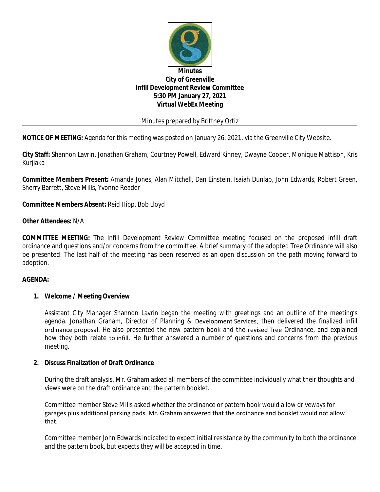

Minutes prepared by Brittney Ortiz

**NOTICE OF MEETING:** Agenda for this meeting was posted on January 26, 2021, via the Greenville City Website.

**City Staff:** Shannon Lavrin, Jonathan Graham, Courtney Powell, Edward Kinney, Dwayne Cooper, Monique Mattison, Kris Kurjiaka

**Committee Members Present:** Amanda Jones, Alan Mitchell, Dan Einstein, Isaiah Dunlap, John Edwards, Robert Green, Sherry Barrett, Steve Mills, Yvonne Reader

**Committee Members Absent:** Reid Hipp, Bob Lloyd

## **Other Attendees:** N/A

**COMMITTEE MEETING:** The Infill Development Review Committee meeting focused on the proposed infill draft ordinance and questions and/or concerns from the committee. A brief summary of the adopted Tree Ordinance will also be presented. The last half of the meeting has been reserved as an open discussion on the path moving forward to adoption.

### **AGENDA:**

### **1. Welcome / Meeting Overview**

Assistant City Manager Shannon Lavrin began the meeting with greetings and an outline of the meeting's agenda. Jonathan Graham, Director of Planning & Development Services, then delivered the finalized infill ordinance proposal. He also presented the new pattern book and the revised Tree Ordinance, and explained how they both relate to infill. He further answered a number of questions and concerns from the previous meeting.

### **2. Discuss Finalization of Draft Ordinance**

During the draft analysis, Mr. Graham asked all members of the committee individually what their thoughts and views were on the draft ordinance and the pattern booklet.

Committee member Steve Mills asked whether the ordinance or pattern book would allow driveways for garages plus additional parking pads. Mr. Graham answered that the ordinance and booklet would not allow that.

Committee member John Edwards indicated to expect initial resistance by the community to both the ordinance and the pattern book, but expects they will be accepted in time.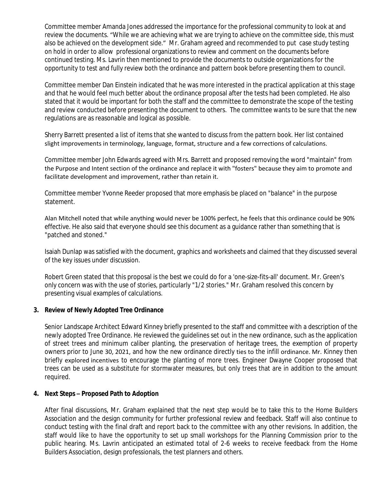Committee member Amanda Jones addressed the importance for the professional community to look at and review the documents. "While we are achieving what we are trying to achieve on the committee side, this must also be achieved on the development side." Mr. Graham agreed and recommended to put case study testing on hold in order to allow professional organizations to review and comment on the documents before continued testing. Ms. Lavrin then mentioned to provide the documents to outside organizations for the opportunity to test and fully review both the ordinance and pattern book before presenting them to council.

Committee member Dan Einstein indicated that he was more interested in the practical application at this stage and that he would feel much better about the ordinance proposal after the tests had been completed. He also stated that it would be important for both the staff and the committee to demonstrate the scope of the testing and review conducted before presenting the document to others. The committee wants to be sure that the new regulations are as reasonable and logical as possible.

Sherry Barrett presented a list of items that she wanted to discuss from the pattern book. Her list contained slight improvements in terminology, language, format, structure and a few corrections of calculations.

Committee member John Edwards agreed with Mrs. Barrett and proposed removing the word "maintain" from the Purpose and Intent section of the ordinance and replace it with "fosters" because they aim to promote and facilitate development and improvement, rather than retain it.

Committee member Yvonne Reeder proposed that more emphasis be placed on "balance" in the purpose statement.

Alan Mitchell noted that while anything would never be 100% perfect, he feels that this ordinance could be 90% effective. He also said that everyone should see this document as a guidance rather than something that is "patched and stoned."

Isaiah Dunlap was satisfied with the document, graphics and worksheets and claimed that they discussed several of the key issues under discussion.

Robert Green stated that this proposal is the best we could do for a 'one-size-fits-all' document. Mr. Green's only concern was with the use of stories, particularly "1/2 stories." Mr. Graham resolved this concern by presenting visual examples of calculations.

# **3. Review of Newly Adopted Tree Ordinance**

Senior Landscape Architect Edward Kinney briefly presented to the staff and committee with a description of the newly adopted Tree Ordinance. He reviewed the guidelines set out in the new ordinance, such as the application of street trees and minimum caliber planting, the preservation of heritage trees, the exemption of property owners prior to June 30, 2021, and how the new ordinance directly ties to the infill ordinance. Mr. Kinney then briefly explored incentives to encourage the planting of more trees. Engineer Dwayne Cooper proposed that trees can be used as a substitute for stormwater measures, but only trees that are in addition to the amount required.

# **4. Next Steps – Proposed Path to Adoption**

After final discussions, Mr. Graham explained that the next step would be to take this to the Home Builders Association and the design community for further professional review and feedback. Staff will also continue to conduct testing with the final draft and report back to the committee with any other revisions. In addition, the staff would like to have the opportunity to set up small workshops for the Planning Commission prior to the public hearing. Ms. Lavrin anticipated an estimated total of 2-6 weeks to receive feedback from the Home Builders Association, design professionals, the test planners and others.